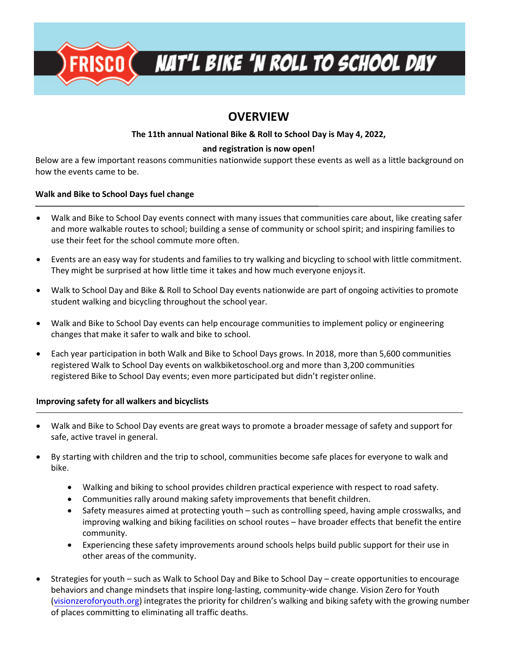

# **OVERVIEW**

### **The 11th annual National Bike & Roll to School Day is May 4, 2022,**

#### **and registration is now open!**

Below are a few important reasons communities nationwide support these events as well as a little background on how the events came to be.

#### **Walk and Bike to School Days fuel change**

- Walk and Bike to School Day events connect with many issues that communities care about, like creating safer and more walkable routes to school; building a sense of community or school spirit; and inspiring families to use their feet for the school commute more often.
- Events are an easy way for students and families to try walking and bicycling to school with little commitment. They might be surprised at how little time it takes and how much everyone enjoys it.
- Walk to School Day and Bike & Roll to School Day events nationwide are part of ongoing activities to promote student walking and bicycling throughout the school year.
- Walk and Bike to School Day events can help encourage communities to implement policy or engineering changes that make it safer to walk and bike to school.
- Each year participation in both Walk and Bike to School Days grows. In 2018, more than 5,600 communities registered Walk to School Day events on walkbiketoschool.org and more than 3,200 communities registered Bike to School Day events; even more participated but didn't register online.

### **Improving safety for all walkers and bicyclists**

- Walk and Bike to School Day events are great ways to promote a broader message of safety and support for safe, active travel in general.
- By starting with children and the trip to school, communities become safe places for everyone to walk and bike.
	- Walking and biking to school provides children practical experience with respect to road safety.
	- Communities rally around making safety improvements that benefit children.
	- Safety measures aimed at protecting youth such as controlling speed, having ample crosswalks, and improving walking and biking facilities on school routes – have broader effects that benefit the entire community.
	- Experiencing these safety improvements around schools helps build public support for their use in other areas of the community.
- Strategies for youth such as Walk to School Day and Bike to School Day create opportunities to encourage behaviors and change mindsets that inspire long-lasting, community-wide change. Vision Zero for Youth (visionzeroforyouth.org) integrates the priority for children's walking and biking safety with the growing number of places committing to eliminating all traffic deaths.